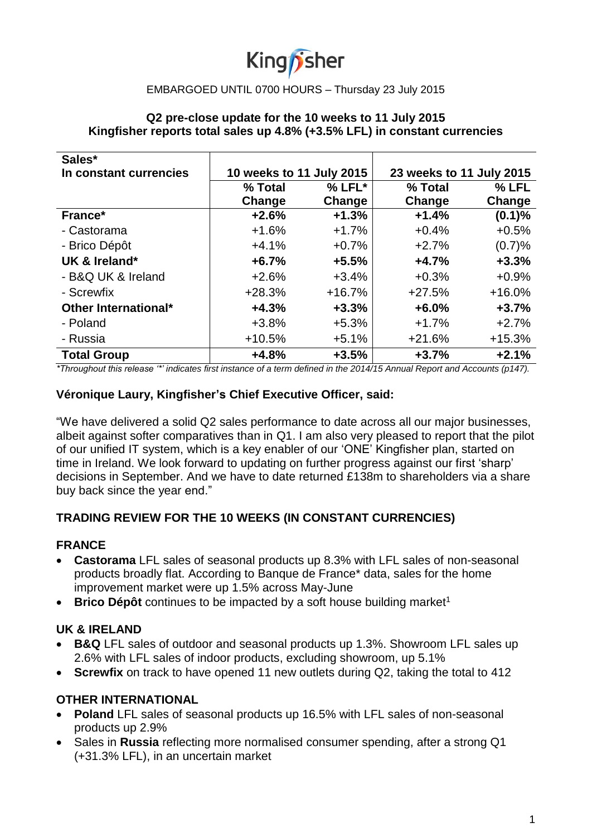# King *f*sher

## EMBARGOED UNTIL 0700 HOURS – Thursday 23 July 2015

## **Q2 pre-close update for the 10 weeks to 11 July 2015 Kingfisher reports total sales up 4.8% (+3.5% LFL) in constant currencies**

| Sales*                 |                          |          |                          |          |
|------------------------|--------------------------|----------|--------------------------|----------|
| In constant currencies | 10 weeks to 11 July 2015 |          | 23 weeks to 11 July 2015 |          |
|                        | % Total                  | $% LFL*$ | % Total                  | % LFL    |
|                        | Change                   | Change   | Change                   | Change   |
| France*                | $+2.6%$                  | $+1.3%$  | $+1.4%$                  | (0.1)%   |
| - Castorama            | $+1.6%$                  | $+1.7%$  | $+0.4%$                  | $+0.5%$  |
| - Brico Dépôt          | $+4.1%$                  | $+0.7%$  | $+2.7%$                  | (0.7)%   |
| UK & Ireland*          | $+6.7%$                  | $+5.5%$  | $+4.7%$                  | $+3.3%$  |
| - B&Q UK & Ireland     | $+2.6%$                  | $+3.4%$  | $+0.3%$                  | $+0.9%$  |
| - Screwfix             | $+28.3%$                 | $+16.7%$ | $+27.5%$                 | $+16.0%$ |
| Other International*   | $+4.3%$                  | $+3.3%$  | $+6.0%$                  | $+3.7%$  |
| - Poland               | $+3.8%$                  | $+5.3%$  | $+1.7%$                  | $+2.7%$  |
| - Russia               | $+10.5%$                 | $+5.1%$  | $+21.6%$                 | $+15.3%$ |
| <b>Total Group</b>     | $+4.8%$                  | $+3.5%$  | $+3.7%$                  | $+2.1%$  |

*\*Throughout this release '\*' indicates first instance of a term defined in the 2014/15 Annual Report and Accounts (p147).*

## **Véronique Laury, Kingfisher's Chief Executive Officer, said:**

"We have delivered a solid Q2 sales performance to date across all our major businesses, albeit against softer comparatives than in Q1. I am also very pleased to report that the pilot of our unified IT system, which is a key enabler of our 'ONE' Kingfisher plan, started on time in Ireland. We look forward to updating on further progress against our first 'sharp' decisions in September. And we have to date returned £138m to shareholders via a share buy back since the year end."

## **TRADING REVIEW FOR THE 10 WEEKS (IN CONSTANT CURRENCIES)**

### **FRANCE**

- **Castorama** LFL sales of seasonal products up 8.3% with LFL sales of non-seasonal products broadly flat. According to Banque de France\* data, sales for the home improvement market were up 1.5% across May-June
- **Brico Dépôt** continues to be impacted by a soft house building market<sup>1</sup>

### **UK & IRELAND**

- **B&Q** LFL sales of outdoor and seasonal products up 1.3%. Showroom LFL sales up 2.6% with LFL sales of indoor products, excluding showroom, up 5.1%
- **Screwfix** on track to have opened 11 new outlets during Q2, taking the total to 412

### **OTHER INTERNATIONAL**

- **Poland** LFL sales of seasonal products up 16.5% with LFL sales of non-seasonal products up 2.9%
- Sales in **Russia** reflecting more normalised consumer spending, after a strong Q1 (+31.3% LFL), in an uncertain market